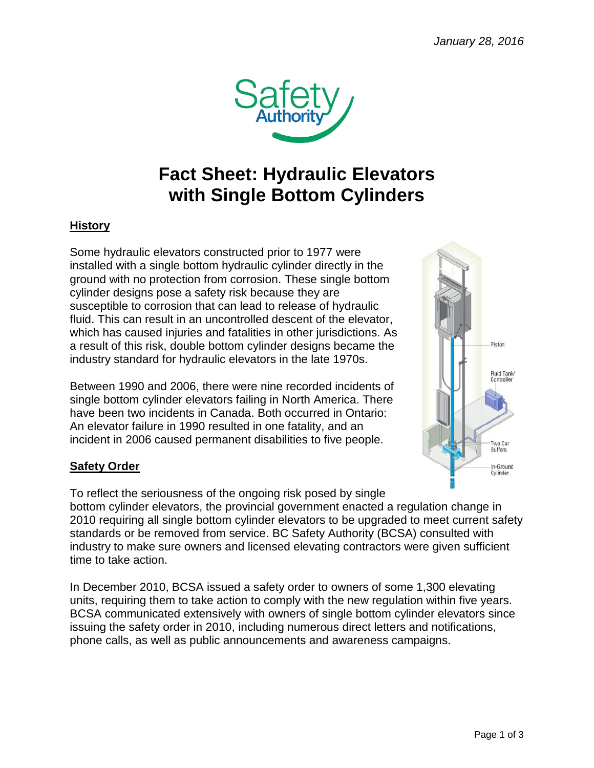

# **Fact Sheet: Hydraulic Elevators with Single Bottom Cylinders**

## **History**

Some hydraulic elevators constructed prior to 1977 were installed with a single bottom hydraulic cylinder directly in the ground with no protection from corrosion. These single bottom cylinder designs pose a safety risk because they are susceptible to corrosion that can lead to release of hydraulic fluid. This can result in an uncontrolled descent of the elevator, which has caused injuries and fatalities in other jurisdictions. As a result of this risk, double bottom cylinder designs became the industry standard for hydraulic elevators in the late 1970s.

Between 1990 and 2006, there were nine recorded incidents of single bottom cylinder elevators failing in North America. There have been two incidents in Canada. Both occurred in Ontario: An elevator failure in 1990 resulted in one fatality, and an incident in 2006 caused permanent disabilities to five people.

### **Safety Order**

To reflect the seriousness of the ongoing risk posed by single bottom cylinder elevators, the provincial government enacted a regulation change in 2010 requiring all single bottom cylinder elevators to be upgraded to meet current safety standards or be removed from service. BC Safety Authority (BCSA) consulted with industry to make sure owners and licensed elevating contractors were given sufficient time to take action.

In December 2010, BCSA issued a safety order to owners of some 1,300 elevating units, requiring them to take action to comply with the new regulation within five years. BCSA communicated extensively with owners of single bottom cylinder elevators since issuing the safety order in 2010, including numerous direct letters and notifications, phone calls, as well as public announcements and awareness campaigns.

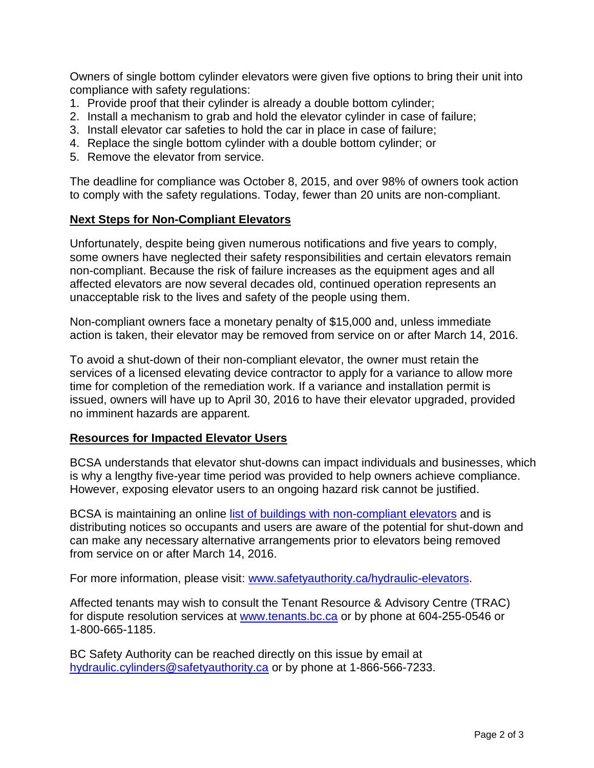Owners of single bottom cylinder elevators were given five options to bring their unit into compliance with safety regulations:

- 1. Provide proof that their cylinder is already a double bottom cylinder;
- 2. Install a mechanism to grab and hold the elevator cylinder in case of failure;
- 3. Install elevator car safeties to hold the car in place in case of failure;
- 4. Replace the single bottom cylinder with a double bottom cylinder; or
- 5. Remove the elevator from service.

The deadline for compliance was October 8, 2015, and over 98% of owners took action to comply with the safety regulations. Today, fewer than 20 units are non-compliant.

#### **Next Steps for Non-Compliant Elevators**

Unfortunately, despite being given numerous notifications and five years to comply, some owners have neglected their safety responsibilities and certain elevators remain non-compliant. Because the risk of failure increases as the equipment ages and all affected elevators are now several decades old, continued operation represents an unacceptable risk to the lives and safety of the people using them.

Non-compliant owners face a monetary penalty of \$15,000 and, unless immediate action is taken, their elevator may be removed from service on or after March 14, 2016.

To avoid a shut-down of their non-compliant elevator, the owner must retain the services of a licensed elevating device contractor to apply for a variance to allow more time for completion of the remediation work. If a variance and installation permit is issued, owners will have up to April 30, 2016 to have their elevator upgraded, provided no imminent hazards are apparent.

#### **Resources for Impacted Elevator Users**

BCSA understands that elevator shut-downs can impact individuals and businesses, which is why a lengthy five-year time period was provided to help owners achieve compliance. However, exposing elevator users to an ongoing hazard risk cannot be justified.

BCSA is maintaining an online [list of buildings with non-compliant elevators](http://safetyauthority.ca/hydraulic-elevators/non-compliant-units) and is distributing notices so occupants and users are aware of the potential for shut-down and can make any necessary alternative arrangements prior to elevators being removed from service on or after March 14, 2016.

For more information, please visit: [www.safetyauthority.ca/hydraulic-elevators.](http://www.safetyauthority.ca/hydraulic-elevators)

Affected tenants may wish to consult the Tenant Resource & Advisory Centre (TRAC) for dispute resolution services at [www.tenants.bc.ca](http://www.tenants.bc.ca/) or by phone at 604-255-0546 or 1-800-665-1185.

BC Safety Authority can be reached directly on this issue by email at [hydraulic.cylinders@safetyauthority.ca](mailto:hydraulic.cylinders@safetyauthority.ca) or by phone at 1-866-566-7233.